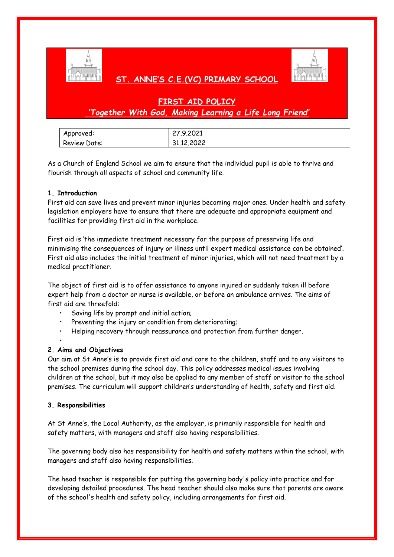

# **ST. ANNE'S C.E.(VC) PRIMARY SCHOOL**



# **FIRST AID POLICY**

# *'Together With God, Making Learning a Life Long Friend'*

| Approved:    | 27.9.2021  |
|--------------|------------|
| Review Date: | 31.12,2022 |

As a Church of England School we aim to ensure that the individual pupil is able to thrive and flourish through all aspects of school and community life.

### **1. Introduction**

First aid can save lives and prevent minor injuries becoming major ones. Under health and safety legislation employers have to ensure that there are adequate and appropriate equipment and facilities for providing first aid in the workplace.

First aid is 'the immediate treatment necessary for the purpose of preserving life and minimising the consequences of injury or illness until expert medical assistance can be obtained'. First aid also includes the initial treatment of minor injuries, which will not need treatment by a medical practitioner.

The object of first aid is to offer assistance to anyone injured or suddenly taken ill before expert help from a doctor or nurse is available, or before an ambulance arrives. The aims of first aid are threefold:

- Saving life by prompt and initial action;
- Preventing the injury or condition from deteriorating;
- Helping recovery through reassurance and protection from further danger.

•

# **2. Aims and Objectives**

Our aim at St Anne's is to provide first aid and care to the children, staff and to any visitors to the school premises during the school day. This policy addresses medical issues involving children at the school, but it may also be applied to any member of staff or visitor to the school premises. The curriculum will support children's understanding of health, safety and first aid.

# **3. Responsibilities**

At St Anne's, the Local Authority, as the employer, is primarily responsible for health and safety matters, with managers and staff also having responsibilities.

The governing body also has responsibility for health and safety matters within the school, with managers and staff also having responsibilities.

The head teacher is responsible for putting the governing body's policy into practice and for developing detailed procedures. The head teacher should also make sure that parents are aware of the school's health and safety policy, including arrangements for first aid.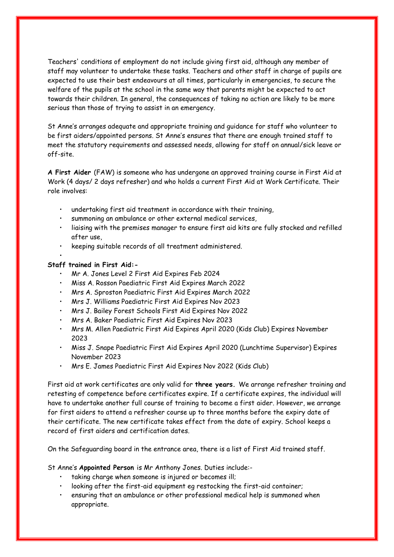Teachers' conditions of employment do not include giving first aid, although any member of staff may volunteer to undertake these tasks. Teachers and other staff in charge of pupils are expected to use their best endeavours at all times, particularly in emergencies, to secure the welfare of the pupils at the school in the same way that parents might be expected to act towards their children. In general, the consequences of taking no action are likely to be more serious than those of trying to assist in an emergency.

St Anne's arranges adequate and appropriate training and guidance for staff who volunteer to be first aiders/appointed persons. St Anne's ensures that there are enough trained staff to meet the statutory requirements and assessed needs, allowing for staff on annual/sick leave or off-site.

**A First Aider** (FAW) is someone who has undergone an approved training course in First Aid at Work (4 days/ 2 days refresher) and who holds a current First Aid at Work Certificate. Their role involves:

- undertaking first aid treatment in accordance with their training,
- summoning an ambulance or other external medical services,
- liaising with the premises manager to ensure first aid kits are fully stocked and refilled after use,
- keeping suitable records of all treatment administered.

### **Staff trained in First Aid:-**

•

- Mr A. Jones Level 2 First Aid Expires Feb 2024
- Miss A. Rosson Paediatric First Aid Expires March 2022
- Mrs A. Sproston Paediatric First Aid Expires March 2022
- Mrs J. Williams Paediatric First Aid Expires Nov 2023
- Mrs J. Bailey Forest Schools First Aid Expires Nov 2022
- Mrs A. Baker Paediatric First Aid Expires Nov 2023
- Mrs M. Allen Paediatric First Aid Expires April 2020 (Kids Club) Expires November 2023
- Miss J. Snape Paediatric First Aid Expires April 2020 (Lunchtime Supervisor) Expires November 2023
- Mrs E. James Paediatric First Aid Expires Nov 2022 (Kids Club)

First aid at work certificates are only valid for **three years.** We arrange refresher training and retesting of competence before certificates expire. If a certificate expires, the individual will have to undertake another full course of training to become a first aider. However, we arrange for first aiders to attend a refresher course up to three months before the expiry date of their certificate. The new certificate takes effect from the date of expiry. School keeps a record of first aiders and certification dates.

On the Safeguarding board in the entrance area, there is a list of First Aid trained staff.

St Anne's **Appointed Person** is Mr Anthony Jones. Duties include:-

- taking charge when someone is injured or becomes ill;
- looking after the first-aid equipment eg restocking the first-aid container;
- ensuring that an ambulance or other professional medical help is summoned when appropriate.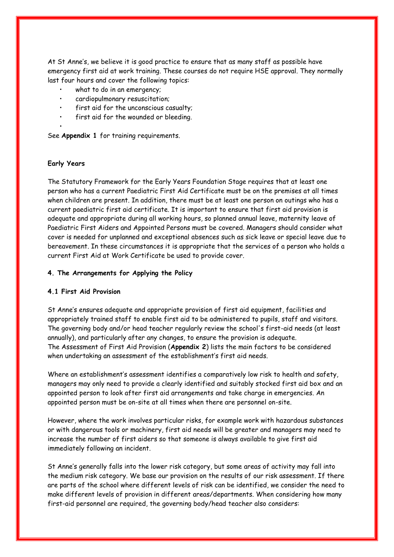At St Anne's, we believe it is good practice to ensure that as many staff as possible have emergency first aid at work training. These courses do not require HSE approval. They normally last four hours and cover the following topics:

- what to do in an emergency;
- **0**cardiopulmonary resuscitation;
- first aid for the unconscious casualty;
- first aid for the wounded or bleeding.

See **Appendix 1** for training requirements.

#### **Early Years**

•

The Statutory Framework for the Early Years Foundation Stage requires that at least one person who has a current Paediatric First Aid Certificate must be on the premises at all times when children are present. In addition, there must be at least one person on outings who has a current paediatric first aid certificate. It is important to ensure that first aid provision is adequate and appropriate during all working hours, so planned annual leave, maternity leave of Paediatric First Aiders and Appointed Persons must be covered. Managers should consider what cover is needed for unplanned and exceptional absences such as sick leave or special leave due to bereavement. In these circumstances it is appropriate that the services of a person who holds a current First Aid at Work Certificate be used to provide cover.

#### **4. The Arrangements for Applying the Policy**

#### **4.1 First Aid Provision**

St Anne's ensures adequate and appropriate provision of first aid equipment, facilities and appropriately trained staff to enable first aid to be administered to pupils, staff and visitors. The governing body and/or head teacher regularly review the school's first-aid needs (at least annually), and particularly after any changes, to ensure the provision is adequate. The Assessment of First Aid Provision (**Appendix 2**) lists the main factors to be considered when undertaking an assessment of the establishment's first aid needs.

Where an establishment's assessment identifies a comparatively low risk to health and safety, managers may only need to provide a clearly identified and suitably stocked first aid box and an appointed person to look after first aid arrangements and take charge in emergencies. An appointed person must be on-site at all times when there are personnel on-site.

However, where the work involves particular risks, for example work with hazardous substances or with dangerous tools or machinery, first aid needs will be greater and managers may need to increase the number of first aiders so that someone is always available to give first aid immediately following an incident.

St Anne's generally falls into the lower risk category, but some areas of activity may fall into the medium risk category. We base our provision on the results of our risk assessment. If there are parts of the school where different levels of risk can be identified, we consider the need to make different levels of provision in different areas/departments. When considering how many first-aid personnel are required, the governing body/head teacher also considers: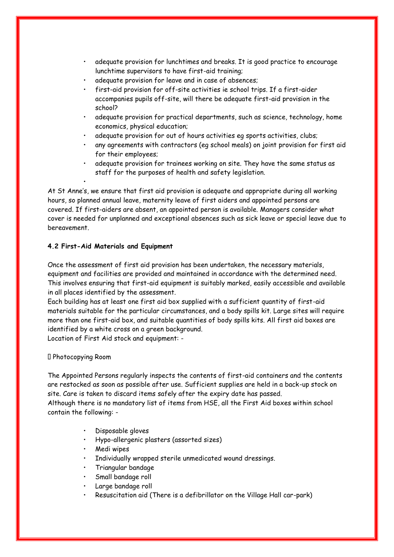- adequate provision for lunchtimes and breaks. It is good practice to encourage lunchtime supervisors to have first-aid training;
- adequate provision for leave and in case of absences;
- first-aid provision for off-site activities ie school trips. If a first-aider accompanies pupils off-site, will there be adequate first-aid provision in the school?
- adequate provision for practical departments, such as science, technology, home economics, physical education;
- adequate provision for out of hours activities eg sports activities, clubs;
- any agreements with contractors (eg school meals) on joint provision for first aid for their employees;
- adequate provision for trainees working on site. They have the same status as staff for the purposes of health and safety legislation.

At St Anne's, we ensure that first aid provision is adequate and appropriate during all working hours, so planned annual leave, maternity leave of first aiders and appointed persons are covered. If first-aiders are absent, an appointed person is available. Managers consider what cover is needed for unplanned and exceptional absences such as sick leave or special leave due to bereavement.

### **4.2 First-Aid Materials and Equipment**

•

Once the assessment of first aid provision has been undertaken, the necessary materials, equipment and facilities are provided and maintained in accordance with the determined need. This involves ensuring that first-aid equipment is suitably marked, easily accessible and available in all places identified by the assessment.

Each building has at least one first aid box supplied with a sufficient quantity of first-aid materials suitable for the particular circumstances, and a body spills kit. Large sites will require more than one first-aid box, and suitable quantities of body spills kits. All first aid boxes are identified by a white cross on a green background.

Location of First Aid stock and equipment: -

#### Photocopying Room

The Appointed Persons regularly inspects the contents of first-aid containers and the contents are restocked as soon as possible after use. Sufficient supplies are held in a back-up stock on site. Care is taken to discard items safely after the expiry date has passed. Although there is no mandatory list of items from HSE, all the First Aid boxes within school contain the following: -

- Disposable gloves
- Hypo-allergenic plasters (assorted sizes)
- Medi wipes
- Individually wrapped sterile unmedicated wound dressings.
- Triangular bandage
- Small bandage roll
- Large bandage roll
- Resuscitation aid (There is a defibrillator on the Village Hall car-park)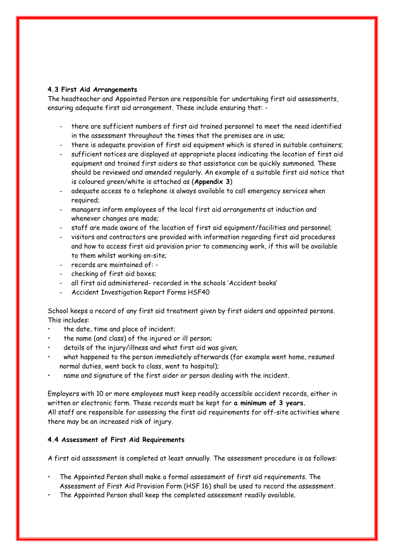#### **4.3 First Aid Arrangements**

The headteacher and Appointed Person are responsible for undertaking first aid assessments, ensuring adequate first aid arrangement. These include ensuring that: -

- there are sufficient numbers of first aid trained personnel to meet the need identified in the assessment throughout the times that the premises are in use;
- there is adequate provision of first aid equipment which is stored in suitable containers;
- sufficient notices are displayed at appropriate places indicating the location of first aid equipment and trained first aiders so that assistance can be quickly summoned. These should be reviewed and amended regularly. An example of a suitable first aid notice that is coloured green/white is attached as (**Appendix 3**)
- adequate access to a telephone is always available to call emergency services when required;
- managers inform employees of the local first aid arrangements at induction and whenever changes are made;
- staff are made aware of the location of first aid equipment/facilities and personnel;
- visitors and contractors are provided with information regarding first aid procedures and how to access first aid provision prior to commencing work, if this will be available to them whilst working on-site;
- records are maintained of: -
- checking of first aid boxes;
- all first aid administered- recorded in the schools 'Accident books'
- Accident Investigation Report Forms HSF40

School keeps a record of any first aid treatment given by first aiders and appointed persons. This includes:

- the date, time and place of incident;
- the name (and class) of the injured or ill person;
- details of the injury/illness and what first aid was given;
- what happened to the person immediately afterwards (for example went home, resumed normal duties, went back to class, went to hospital);
- **0**name and signature of the first aider or person dealing with the incident.

Employers with 10 or more employees must keep readily accessible accident records, either in written or electronic form. These records must be kept for **a minimum of 3 years.** All staff are responsible for assessing the first aid requirements for off-site activities where there may be an increased risk of injury.

#### **4.4 Assessment of First Aid Requirements**

A first aid assessment is completed at least annually. The assessment procedure is as follows:

- The Appointed Person shall make a formal assessment of first aid requirements. The Assessment of First Aid Provision Form (HSF 16) shall be used to record the assessment.
- The Appointed Person shall keep the completed assessment readily available.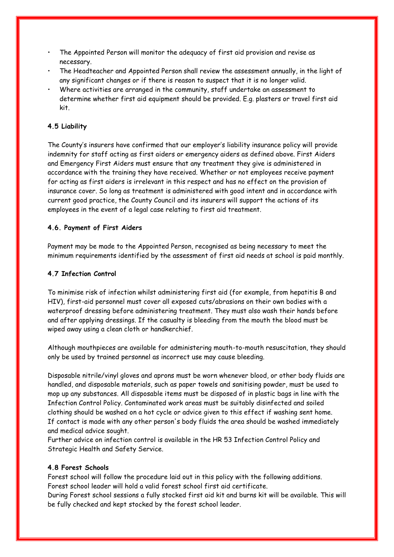- The Appointed Person will monitor the adequacy of first aid provision and revise as necessary.
- The Headteacher and Appointed Person shall review the assessment annually, in the light of any significant changes or if there is reason to suspect that it is no longer valid.
- Where activities are arranged in the community, staff undertake an assessment to determine whether first aid equipment should be provided. E.g. plasters or travel first aid kit.

# **4.5 Liability**

The County's insurers have confirmed that our employer's liability insurance policy will provide indemnity for staff acting as first aiders or emergency aiders as defined above. First Aiders and Emergency First Aiders must ensure that any treatment they give is administered in accordance with the training they have received. Whether or not employees receive payment for acting as first aiders is irrelevant in this respect and has no effect on the provision of insurance cover. So long as treatment is administered with good intent and in accordance with current good practice, the County Council and its insurers will support the actions of its employees in the event of a legal case relating to first aid treatment.

# **4.6. Payment of First Aiders**

Payment may be made to the Appointed Person, recognised as being necessary to meet the minimum requirements identified by the assessment of first aid needs at school is paid monthly.

### **4.7 Infection Control**

To minimise risk of infection whilst administering first aid (for example, from hepatitis B and HIV), first-aid personnel must cover all exposed cuts/abrasions on their own bodies with a waterproof dressing before administering treatment. They must also wash their hands before and after applying dressings. If the casualty is bleeding from the mouth the blood must be wiped away using a clean cloth or handkerchief.

Although mouthpieces are available for administering mouth-to-mouth resuscitation, they should only be used by trained personnel as incorrect use may cause bleeding.

Disposable nitrile/vinyl gloves and aprons must be worn whenever blood, or other body fluids are handled, and disposable materials, such as paper towels and sanitising powder, must be used to mop up any substances. All disposable items must be disposed of in plastic bags in line with the Infection Control Policy. Contaminated work areas must be suitably disinfected and soiled clothing should be washed on a hot cycle or advice given to this effect if washing sent home. If contact is made with any other person's body fluids the area should be washed immediately and medical advice sought.

Further advice on infection control is available in the HR 53 Infection Control Policy and Strategic Health and Safety Service.

#### **4.8 Forest Schools**

Forest school will follow the procedure laid out in this policy with the following additions. Forest school leader will hold a valid forest school first aid certificate.

During Forest school sessions a fully stocked first aid kit and burns kit will be available. This will be fully checked and kept stocked by the forest school leader.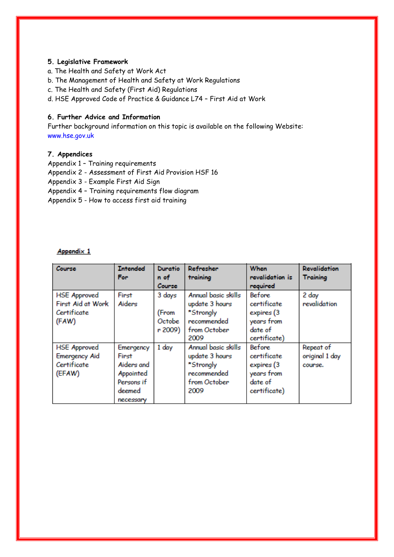#### **5. Legislative Framework**

- a. The Health and Safety at Work Act
- b. The Management of Health and Safety at Work Regulations
- c. The Health and Safety (First Aid) Regulations
- d. HSE Approved Code of Practice & Guidance L74 First Aid at Work

### **6. Further Advice and Information**

Further background information on this topic is available on the following Website: www.hse.gov.uk

### **7. Appendices**

- Appendix 1 Training requirements
- Appendix 2 Assessment of First Aid Provision HSF 16
- Appendix 3 Example First Aid Sign
- Appendix 4 Training requirements flow diagram

Appendix 5 - How to access first aid training

# Appendix 1

| Course               | <b>Intended</b><br>For | Duratio<br>n of | Refresher<br>training | <b>When</b><br>revalidation is | <b>Revalidation</b><br><b>Training</b> |
|----------------------|------------------------|-----------------|-----------------------|--------------------------------|----------------------------------------|
|                      |                        | Course          |                       | required                       |                                        |
| <b>HSE Approved</b>  | First                  | 3 days          | Annual basic skills   | <b>Before</b>                  | 2 day                                  |
| First Aid at Work    | Aiders                 |                 | update 3 hours        | certificate                    | revalidation                           |
| Certificate          |                        | (From           | *Strongly             | expires (3                     |                                        |
| (FAW)                |                        | Octobe          | recommended           | years from                     |                                        |
|                      |                        | r 2009)         | from October          | date of                        |                                        |
|                      |                        |                 | 2009                  | certificate)                   |                                        |
| <b>HSE Approved</b>  | Emergency              | 1 day           | Annual basic skills   | Before                         | Repeat of                              |
| <b>Emergency Aid</b> | First                  |                 | update 3 hours        | certificate                    | original 1 day                         |
| Certificate          | Aiders and             |                 | *Strongly             | expires (3                     | course.                                |
| (EFAW)               | Appointed              |                 | recommended           | years from                     |                                        |
|                      | Persons if             |                 | from October          | date of                        |                                        |
|                      | deemed                 |                 | 2009                  | certificate)                   |                                        |
|                      | necessary              |                 |                       |                                |                                        |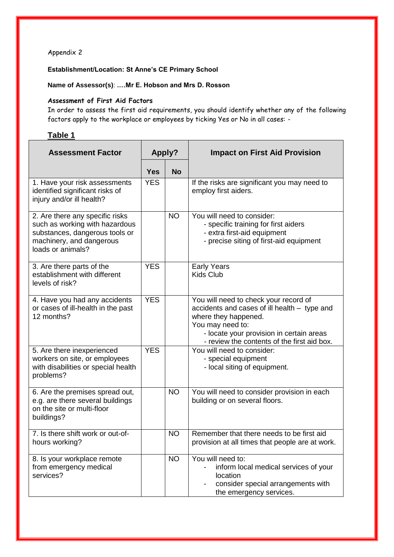# Appendix 2

**Establishment/Location: St Anne's CE Primary School** 

**Name of Assessor(s)**: **.…Mr E. Hobson and Mrs D. Rosson**

### **Assessment of First Aid Factors**

In order to assess the first aid requirements, you should identify whether any of the following factors apply to the workplace or employees by ticking Yes or No in all cases: -

# **Table 1**

| <b>Assessment Factor</b>                                                                                                                             | <b>Apply?</b> |           | <b>Impact on First Aid Provision</b>                                                                                                                                                                                         |  |
|------------------------------------------------------------------------------------------------------------------------------------------------------|---------------|-----------|------------------------------------------------------------------------------------------------------------------------------------------------------------------------------------------------------------------------------|--|
|                                                                                                                                                      | <b>Yes</b>    | <b>No</b> |                                                                                                                                                                                                                              |  |
| 1. Have your risk assessments<br>identified significant risks of<br>injury and/or ill health?                                                        | <b>YES</b>    |           | If the risks are significant you may need to<br>employ first aiders.                                                                                                                                                         |  |
| 2. Are there any specific risks<br>such as working with hazardous<br>substances, dangerous tools or<br>machinery, and dangerous<br>loads or animals? |               | <b>NO</b> | You will need to consider:<br>- specific training for first aiders<br>- extra first-aid equipment<br>- precise siting of first-aid equipment                                                                                 |  |
| 3. Are there parts of the<br>establishment with different<br>levels of risk?                                                                         | <b>YES</b>    |           | <b>Early Years</b><br><b>Kids Club</b>                                                                                                                                                                                       |  |
| 4. Have you had any accidents<br>or cases of ill-health in the past<br>12 months?                                                                    | <b>YES</b>    |           | You will need to check your record of<br>accidents and cases of ill health - type and<br>where they happened.<br>You may need to:<br>- locate your provision in certain areas<br>- review the contents of the first aid box. |  |
| 5. Are there inexperienced<br>workers on site, or employees<br>with disabilities or special health<br>problems?                                      | <b>YES</b>    |           | You will need to consider:<br>- special equipment<br>- local siting of equipment.                                                                                                                                            |  |
| 6. Are the premises spread out,<br>e.g. are there several buildings<br>on the site or multi-floor<br>buildings?                                      |               | <b>NO</b> | You will need to consider provision in each<br>building or on several floors.                                                                                                                                                |  |
| 7. Is there shift work or out-of-<br>hours working?                                                                                                  |               | <b>NO</b> | Remember that there needs to be first aid<br>provision at all times that people are at work.                                                                                                                                 |  |
| 8. Is your workplace remote<br>from emergency medical<br>services?                                                                                   |               | <b>NO</b> | You will need to:<br>inform local medical services of your<br>location<br>consider special arrangements with<br>the emergency services.                                                                                      |  |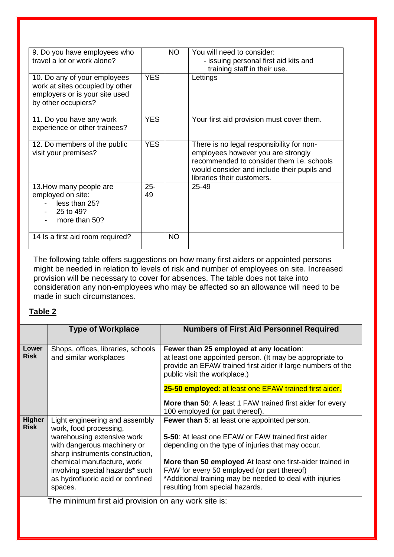| 9. Do you have employees who<br>travel a lot or work alone?                                                              |              | <b>NO</b> | You will need to consider:<br>- issuing personal first aid kits and<br>training staff in their use.                                                                                                       |
|--------------------------------------------------------------------------------------------------------------------------|--------------|-----------|-----------------------------------------------------------------------------------------------------------------------------------------------------------------------------------------------------------|
| 10. Do any of your employees<br>work at sites occupied by other<br>employers or is your site used<br>by other occupiers? | <b>YES</b>   |           | Lettings                                                                                                                                                                                                  |
| 11. Do you have any work<br>experience or other trainees?                                                                | <b>YES</b>   |           | Your first aid provision must cover them.                                                                                                                                                                 |
| 12. Do members of the public<br>visit your premises?                                                                     | <b>YES</b>   |           | There is no legal responsibility for non-<br>employees however you are strongly<br>recommended to consider them i.e. schools<br>would consider and include their pupils and<br>libraries their customers. |
| 13. How many people are<br>employed on site:<br>less than 25?<br>25 to 49?<br>more than 50?                              | $25 -$<br>49 |           | 25-49                                                                                                                                                                                                     |
| 14 Is a first aid room required?                                                                                         |              | <b>NO</b> |                                                                                                                                                                                                           |

The following table offers suggestions on how many first aiders or appointed persons might be needed in relation to levels of risk and number of employees on site. Increased provision will be necessary to cover for absences. The table does not take into consideration any non-employees who may be affected so an allowance will need to be made in such circumstances.

# **Table 2**

|                                                      | <b>Type of Workplace</b>                                                                     | <b>Numbers of First Aid Personnel Required</b>                                                                                                                                                     |  |
|------------------------------------------------------|----------------------------------------------------------------------------------------------|----------------------------------------------------------------------------------------------------------------------------------------------------------------------------------------------------|--|
| Lower<br><b>Risk</b>                                 | Shops, offices, libraries, schools<br>and similar workplaces                                 | Fewer than 25 employed at any location:<br>at least one appointed person. (It may be appropriate to<br>provide an EFAW trained first aider if large numbers of the<br>public visit the workplace.) |  |
|                                                      |                                                                                              | 25-50 employed: at least one EFAW trained first aider.<br><b>More than 50:</b> A least 1 FAW trained first aider for every                                                                         |  |
|                                                      |                                                                                              | 100 employed (or part thereof).                                                                                                                                                                    |  |
| <b>Higher</b><br><b>Risk</b>                         | Light engineering and assembly<br>work, food processing,                                     | Fewer than 5: at least one appointed person.                                                                                                                                                       |  |
|                                                      | warehousing extensive work<br>with dangerous machinery or<br>sharp instruments construction, | 5-50: At least one EFAW or FAW trained first aider<br>depending on the type of injuries that may occur.                                                                                            |  |
|                                                      | chemical manufacture, work<br>involving special hazards* such                                | More than 50 employed At least one first-aider trained in<br>FAW for every 50 employed (or part thereof)                                                                                           |  |
|                                                      | as hydrofluoric acid or confined<br>spaces.                                                  | *Additional training may be needed to deal with injuries<br>resulting from special hazards.                                                                                                        |  |
| The minimum first aid provision on any work site is: |                                                                                              |                                                                                                                                                                                                    |  |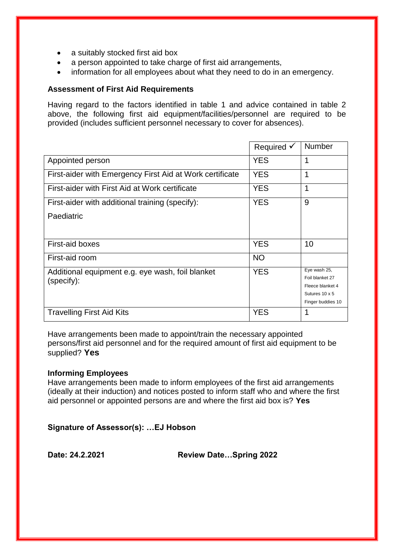- a suitably stocked first aid box
- a person appointed to take charge of first aid arrangements,
- information for all employees about what they need to do in an emergency.

# **Assessment of First Aid Requirements**

Having regard to the factors identified in table 1 and advice contained in table 2 above, the following first aid equipment/facilities/personnel are required to be provided (includes sufficient personnel necessary to cover for absences).

|                                                          | Required $\checkmark$ | <b>Number</b>                       |
|----------------------------------------------------------|-----------------------|-------------------------------------|
| Appointed person                                         | <b>YES</b>            | 1                                   |
| First-aider with Emergency First Aid at Work certificate | <b>YES</b>            | 1                                   |
| First-aider with First Aid at Work certificate           | <b>YES</b>            | 1                                   |
| First-aider with additional training (specify):          | <b>YES</b>            | 9                                   |
| Paediatric                                               |                       |                                     |
|                                                          |                       |                                     |
| First-aid boxes                                          | <b>YES</b>            | 10                                  |
| First-aid room                                           | <b>NO</b>             |                                     |
| Additional equipment e.g. eye wash, foil blanket         | <b>YES</b>            | Eye wash 25,                        |
| (specify):                                               |                       | Foil blanket 27<br>Fleece blanket 4 |
|                                                          |                       | Sutures 10 x 5                      |
|                                                          |                       | Finger buddies 10                   |
| <b>Travelling First Aid Kits</b>                         | YES                   | 1                                   |

Have arrangements been made to appoint/train the necessary appointed persons/first aid personnel and for the required amount of first aid equipment to be supplied? **Yes**

# **Informing Employees**

Have arrangements been made to inform employees of the first aid arrangements (ideally at their induction) and notices posted to inform staff who and where the first aid personnel or appointed persons are and where the first aid box is? **Yes**

**Signature of Assessor(s): …EJ Hobson**

**Date: 24.2.2021 Review Date…Spring 2022**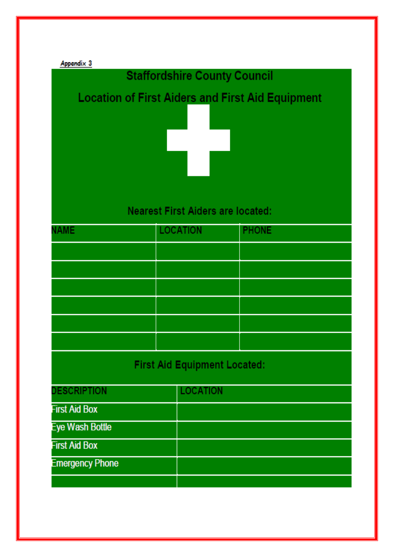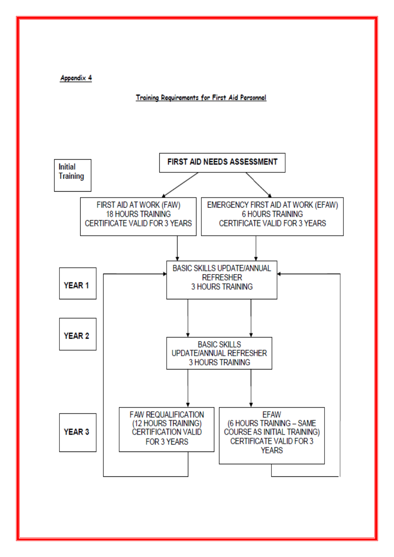Appendix 4

#### Training Requirements for First Aid Personnel

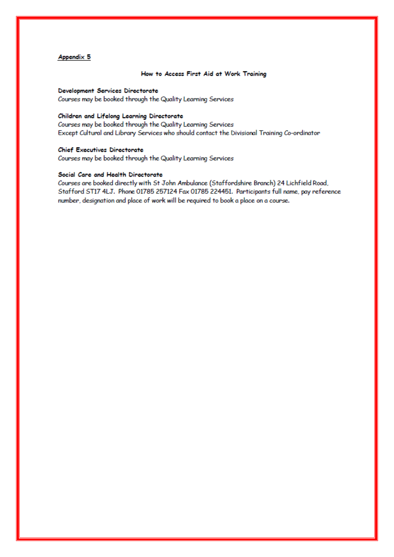#### **Appendix 5**

#### How to Access First Aid at Work Training

Development Services Directorate Courses may be booked through the Quality Learning Services

#### Children and Lifelong Learning Directorate

Courses may be booked through the Quality Learning Services Except Cultural and Library Services who should contact the Divisional Training Co-ordinator

#### **Chief Executives Directorate**

Courses may be booked through the Quality Learning Services

#### Social Care and Health Directorate

Courses are booked directly with St John Ambulance (Staffordshire Branch) 24 Lichfield Road, Stafford ST17 4LJ. Phone 01785 257124 Fax 01785 224451. Participants full name, pay reference number, designation and place of work will be required to book a place on a course.